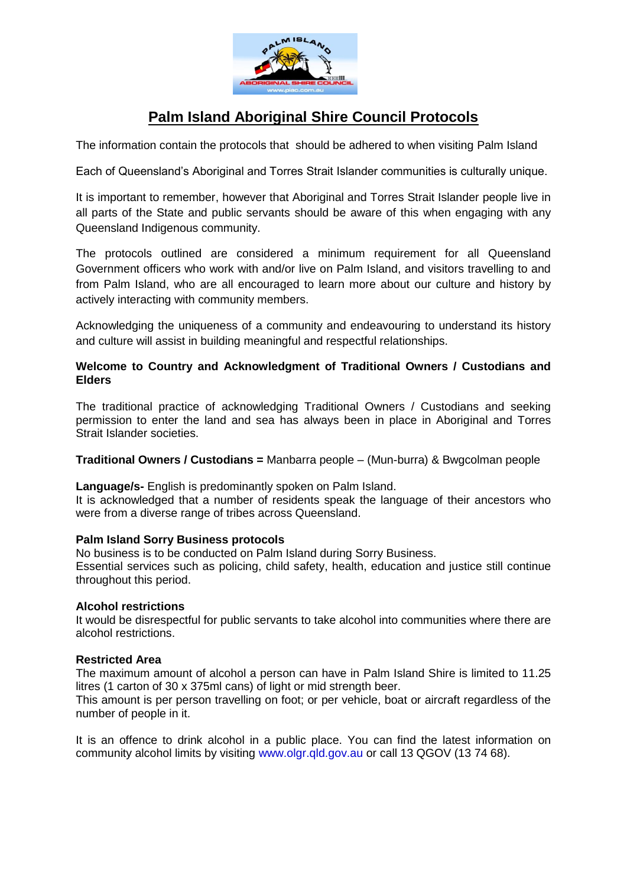

# **Palm Island Aboriginal Shire Council Protocols**

The information contain the protocols that should be adhered to when visiting Palm Island

Each of Queensland's Aboriginal and Torres Strait Islander communities is culturally unique.

It is important to remember, however that Aboriginal and Torres Strait Islander people live in all parts of the State and public servants should be aware of this when engaging with any Queensland Indigenous community.

The protocols outlined are considered a minimum requirement for all Queensland Government officers who work with and/or live on Palm Island, and visitors travelling to and from Palm Island, who are all encouraged to learn more about our culture and history by actively interacting with community members.

Acknowledging the uniqueness of a community and endeavouring to understand its history and culture will assist in building meaningful and respectful relationships.

# **Welcome to Country and Acknowledgment of Traditional Owners / Custodians and Elders**

The traditional practice of acknowledging Traditional Owners / Custodians and seeking permission to enter the land and sea has always been in place in Aboriginal and Torres Strait Islander societies.

# **Traditional Owners / Custodians =** Manbarra people – (Mun-burra) & Bwgcolman people

**Language/s-** English is predominantly spoken on Palm Island.

It is acknowledged that a number of residents speak the language of their ancestors who were from a diverse range of tribes across Queensland.

#### **Palm Island Sorry Business protocols**

No business is to be conducted on Palm Island during Sorry Business. Essential services such as policing, child safety, health, education and justice still continue throughout this period.

# **Alcohol restrictions**

It would be disrespectful for public servants to take alcohol into communities where there are alcohol restrictions.

# **Restricted Area**

The maximum amount of alcohol a person can have in Palm Island Shire is limited to 11.25 litres (1 carton of 30 x 375ml cans) of light or mid strength beer.

This amount is per person travelling on foot; or per vehicle, boat or aircraft regardless of the number of people in it.

It is an offence to drink alcohol in a public place. You can find the latest information on community alcohol limits by visiting [www.olgr.qld.gov.au](http://www.olgr.qld.gov.au/) or call 13 QGOV (13 74 68).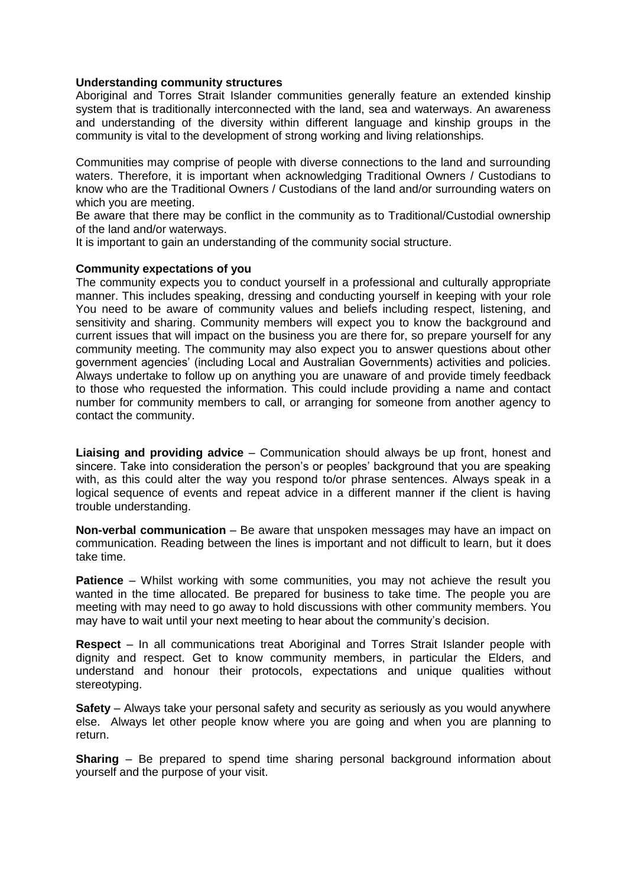#### **Understanding community structures**

Aboriginal and Torres Strait Islander communities generally feature an extended kinship system that is traditionally interconnected with the land, sea and waterways. An awareness and understanding of the diversity within different language and kinship groups in the community is vital to the development of strong working and living relationships.

Communities may comprise of people with diverse connections to the land and surrounding waters. Therefore, it is important when acknowledging Traditional Owners / Custodians to know who are the Traditional Owners / Custodians of the land and/or surrounding waters on which you are meeting.

Be aware that there may be conflict in the community as to Traditional/Custodial ownership of the land and/or waterways.

It is important to gain an understanding of the community social structure.

### **Community expectations of you**

The community expects you to conduct yourself in a professional and culturally appropriate manner. This includes speaking, dressing and conducting yourself in keeping with your role You need to be aware of community values and beliefs including respect, listening, and sensitivity and sharing. Community members will expect you to know the background and current issues that will impact on the business you are there for, so prepare yourself for any community meeting. The community may also expect you to answer questions about other government agencies' (including Local and Australian Governments) activities and policies. Always undertake to follow up on anything you are unaware of and provide timely feedback to those who requested the information. This could include providing a name and contact number for community members to call, or arranging for someone from another agency to contact the community.

**Liaising and providing advice** – Communication should always be up front, honest and sincere. Take into consideration the person's or peoples' background that you are speaking with, as this could alter the way you respond to/or phrase sentences. Always speak in a logical sequence of events and repeat advice in a different manner if the client is having trouble understanding.

**Non-verbal communication** – Be aware that unspoken messages may have an impact on communication. Reading between the lines is important and not difficult to learn, but it does take time.

**Patience** – Whilst working with some communities, you may not achieve the result you wanted in the time allocated. Be prepared for business to take time. The people you are meeting with may need to go away to hold discussions with other community members. You may have to wait until your next meeting to hear about the community's decision.

**Respect** – In all communications treat Aboriginal and Torres Strait Islander people with dignity and respect. Get to know community members, in particular the Elders, and understand and honour their protocols, expectations and unique qualities without stereotyping.

**Safety** – Always take your personal safety and security as seriously as you would anywhere else. Always let other people know where you are going and when you are planning to return.

**Sharing** – Be prepared to spend time sharing personal background information about yourself and the purpose of your visit.